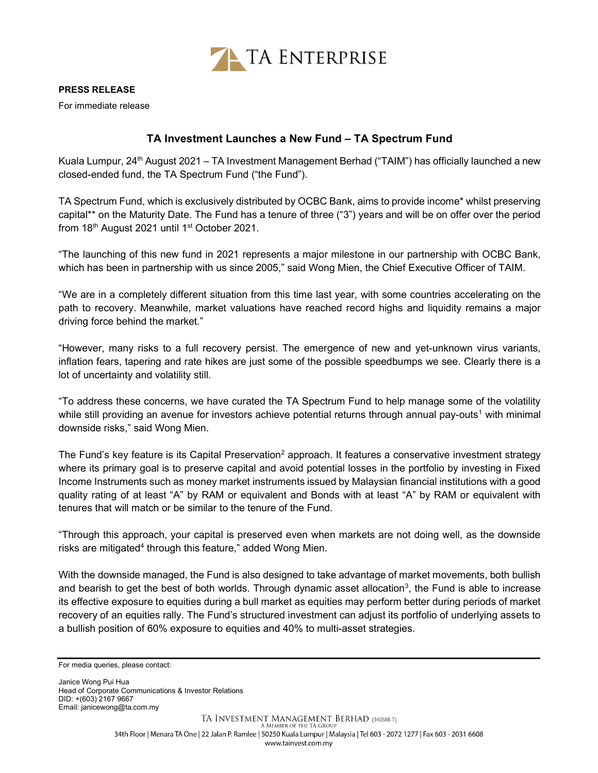

For immediate release

## TA Investment Launches a New Fund – TA Spectrum Fund

Kuala Lumpur, 24<sup>th</sup> August 2021 – TA Investment Management Berhad ("TAIM") has officially launched a new closed-ended fund, the TA Spectrum Fund ("the Fund").

TA Spectrum Fund, which is exclusively distributed by OCBC Bank, aims to provide income\* whilst preserving capital\*\* on the Maturity Date. The Fund has a tenure of three ("3") years and will be on offer over the period from 18<sup>th</sup> August 2021 until 1<sup>st</sup> October 2021.

"The launching of this new fund in 2021 represents a major milestone in our partnership with OCBC Bank, which has been in partnership with us since 2005," said Wong Mien, the Chief Executive Officer of TAIM.

"We are in a completely different situation from this time last year, with some countries accelerating on the path to recovery. Meanwhile, market valuations have reached record highs and liquidity remains a major driving force behind the market."

"However, many risks to a full recovery persist. The emergence of new and yet-unknown virus variants, inflation fears, tapering and rate hikes are just some of the possible speedbumps we see. Clearly there is a lot of uncertainty and volatility still.

"To address these concerns, we have curated the TA Spectrum Fund to help manage some of the volatility while still providing an avenue for investors achieve potential returns through annual pay-outs<sup>1</sup> with minimal downside risks," said Wong Mien.

The Fund's key feature is its Capital Preservation<sup>2</sup> approach. It features a conservative investment strategy where its primary goal is to preserve capital and avoid potential losses in the portfolio by investing in Fixed Income Instruments such as money market instruments issued by Malaysian financial institutions with a good quality rating of at least "A" by RAM or equivalent and Bonds with at least "A" by RAM or equivalent with tenures that will match or be similar to the tenure of the Fund.

"Through this approach, your capital is preserved even when markets are not doing well, as the downside risks are mitigated<sup>4</sup> through this feature," added Wong Mien.

With the downside managed, the Fund is also designed to take advantage of market movements, both bullish and bearish to get the best of both worlds. Through dynamic asset allocation<sup>3</sup>, the Fund is able to increase its effective exposure to equities during a bull market as equities may perform better during periods of market recovery of an equities rally. The Fund's structured investment can adjust its portfolio of underlying assets to a bullish position of 60% exposure to equities and 40% to multi-asset strategies.

Janice Wong Pui Hua Head of Corporate Communications & Investor Relations DID: +(603) 2167 9667 Email: janicewong@ta.com.my

For media queries, please contact: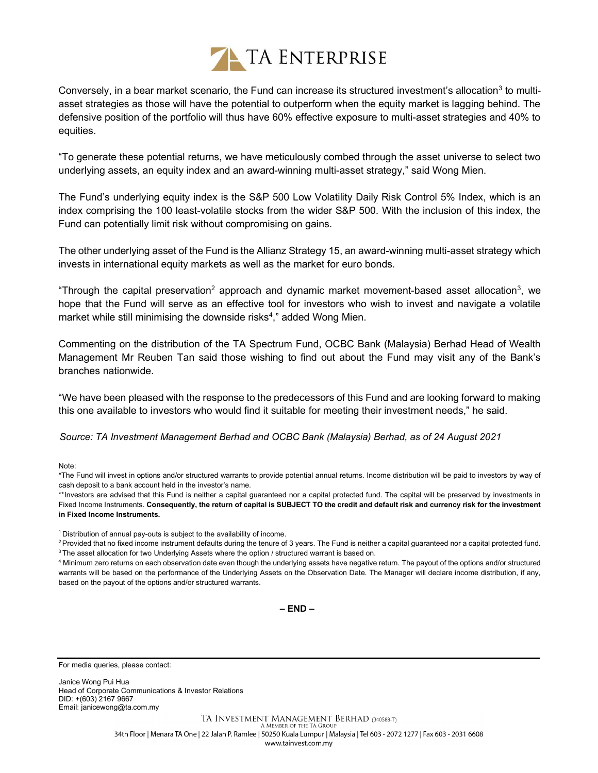

Conversely, in a bear market scenario, the Fund can increase its structured investment's allocation<sup>3</sup> to multiasset strategies as those will have the potential to outperform when the equity market is lagging behind. The defensive position of the portfolio will thus have 60% effective exposure to multi-asset strategies and 40% to equities.

"To generate these potential returns, we have meticulously combed through the asset universe to select two underlying assets, an equity index and an award-winning multi-asset strategy," said Wong Mien.

The Fund's underlying equity index is the S&P 500 Low Volatility Daily Risk Control 5% Index, which is an index comprising the 100 least-volatile stocks from the wider S&P 500. With the inclusion of this index, the Fund can potentially limit risk without compromising on gains.

The other underlying asset of the Fund is the Allianz Strategy 15, an award-winning multi-asset strategy which invests in international equity markets as well as the market for euro bonds.

"Through the capital preservation<sup>2</sup> approach and dynamic market movement-based asset allocation<sup>3</sup>, we hope that the Fund will serve as an effective tool for investors who wish to invest and navigate a volatile market while still minimising the downside risks<sup>4</sup>," added Wong Mien.

Commenting on the distribution of the TA Spectrum Fund, OCBC Bank (Malaysia) Berhad Head of Wealth Management Mr Reuben Tan said those wishing to find out about the Fund may visit any of the Bank's branches nationwide.

"We have been pleased with the response to the predecessors of this Fund and are looking forward to making this one available to investors who would find it suitable for meeting their investment needs," he said.

Source: TA Investment Management Berhad and OCBC Bank (Malaysia) Berhad, as of 24 August 2021

Note:

\*The Fund will invest in options and/or structured warrants to provide potential annual returns. Income distribution will be paid to investors by way of cash deposit to a bank account held in the investor's name.

\*\*Investors are advised that this Fund is neither a capital guaranteed nor a capital protected fund. The capital will be preserved by investments in Fixed Income Instruments. Consequently, the return of capital is SUBJECT TO the credit and default risk and currency risk for the investment in Fixed Income Instruments.

<sup>1</sup> Distribution of annual pay-outs is subiect to the availability of income.

<sup>2</sup> Provided that no fixed income instrument defaults during the tenure of 3 years. The Fund is neither a capital guaranteed nor a capital protected fund. <sup>3</sup> The asset allocation for two Underlying Assets where the option / structured warrant is based on.

4 Minimum zero returns on each observation date even though the underlying assets have negative return. The payout of the options and/or structured warrants will be based on the performance of the Underlying Assets on the Observation Date. The Manager will declare income distribution, if any, based on the payout of the options and/or structured warrants.

– END –

For media queries, please contact:

Janice Wong Pui Hua Head of Corporate Communications & Investor Relations DID: +(603) 2167 9667 Email: janicewong@ta.com.my

> TA INVESTMENT MANAGEMENT BERHAD (340588-T) A MEMBER OF THE TA GROUI 34th Floor | Menara TA One | 22 Jalan P. Ramlee | 50250 Kuala Lumpur | Malaysia | Tel 603 - 2072 1277 | Fax 603 - 2031 6608 www.tainvest.com.my